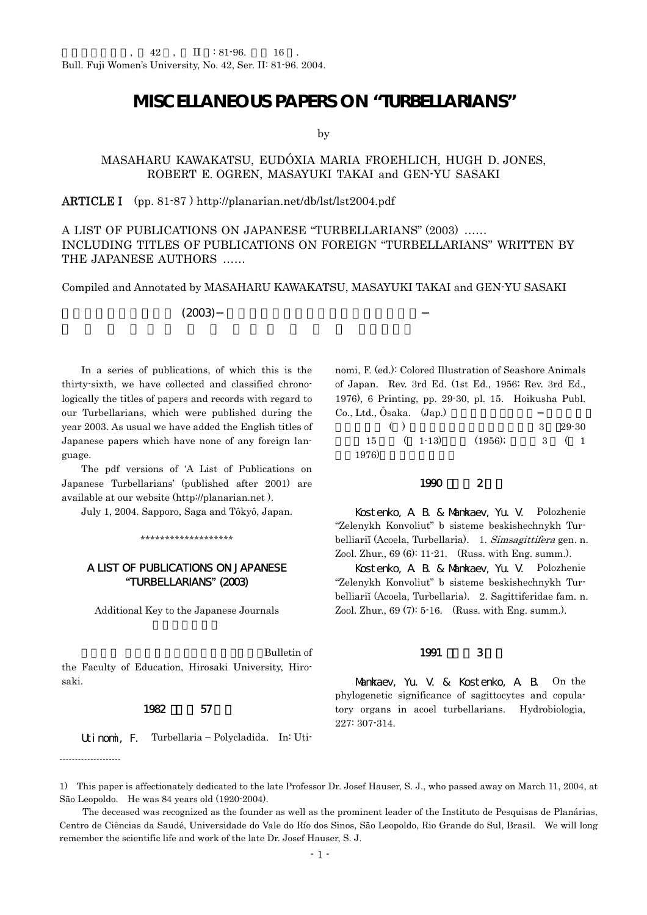# **MISCELLANEOUS PAPERS ON "TURBELLARIANS"**

by

# MASAHARU KAWAKATSU, EUDÓXIA MARIA FROEHLICH, HUGH D. JONES, ROBERT E. OGREN, MASAYUKI TAKAI and GEN-YU SASAKI

# ARTICLE I (pp. 81-87 ) http://planarian.net/db/lst/lst2004.pdf

# A LIST OF PUBLICATIONS ON JAPANESE "TURBELLARIANS" (2003) …… INCLUDING TITLES OF PUBLICATIONS ON FOREIGN "TURBELLARIANS" WRITTEN BY THE JAPANESE AUTHORS ……

Compiled and Annotated by MASAHARU KAWAKATSU, MASAYUKI TAKAI and GEN-YU SASAKI

# $(2003)$

 In a series of publications, of which this is the thirty-sixth, we have collected and classified chronologically the titles of papers and records with regard to our Turbellarians, which were published during the year 2003. As usual we have added the English titles of Japanese papers which have none of any foreign language.

 The pdf versions of 'A List of Publications on Japanese Turbellarians' (published after 2001) are available at our website (http://planarian.net ).

July 1, 2004. Sapporo, Saga and Tôkyô, Japan.

#### \*\*\*\*\*\*\*\*\*\*\*\*\*\*\*\*\*\*\*

# A LIST OF PUBLICATIONS ON JAPANESE "TURBELLARIANS" (2003)

Additional Key to the Japanese Journals

Bulletin of the Faculty of Education, Hirosaki University, Hirosaki.

#### 1982 57

--------------------

| Utinomi, F. |  | Turbellaria – Polycladida. |  | In: Uti- |
|-------------|--|----------------------------|--|----------|
|-------------|--|----------------------------|--|----------|

nomi, F. (ed.): Colored Illustration of Seashore Animals of Japan. Rev. 3rd Ed. (1st Ed., 1956; Rev. 3rd Ed., 1976), 6 Printing, pp. 29-30, pl. 15. Hoikusha Publ. Co., Ltd.,  $\hat{O}$ saka.  $(Jap.)$ 

|       | ( |               |         | $3\quad 29-30$ |  |
|-------|---|---------------|---------|----------------|--|
|       |   | $15 \t(1-13)$ | (1956); | 3 ( 1          |  |
| 1976) |   |               |         |                |  |

# 1990 2

 Kostenko, A. B. & Mamkaev, Yu. V. Polozhenie "Zelenykh Konvoliut" b sisteme beskishechnykh Turbelliariĭ (Acoela, Turbellaria). 1. Simsagittifera gen. n. Zool. Zhur., 69 (6): 11-21. (Russ. with Eng. summ.).

 Kostenko, A. B. & Mamkaev, Yu. V. Polozhenie "Zelenykh Konvoliut" b sisteme beskishechnykh Turbelliariĭ (Acoela, Turbellaria). 2. Sagittiferidae fam. n. Zool. Zhur., 69 (7): 5-16. (Russ. with Eng. summ.).

#### 1991 3

 Mamkaev, Yu. V. & Kostenko, A. B. On the phylogenetic significance of sagittocytes and copulatory organs in acoel turbellarians. Hydrobiologia, 227: 307-314.

<sup>1)</sup> This paper is affectionately dedicated to the late Professor Dr. Josef Hauser, S. J., who passed away on March 11, 2004, at São Leopoldo. He was 84 years old (1920-2004).

The deceased was recognized as the founder as well as the prominent leader of the Instituto de Pesquisas de Planárias, Centro de Ciências da Saudé, Universidade do Vale do Río dos Sinos, São Leopoldo, Rio Grande do Sul, Brasil. We will long remember the scientific life and work of the late Dr. Josef Hauser, S. J.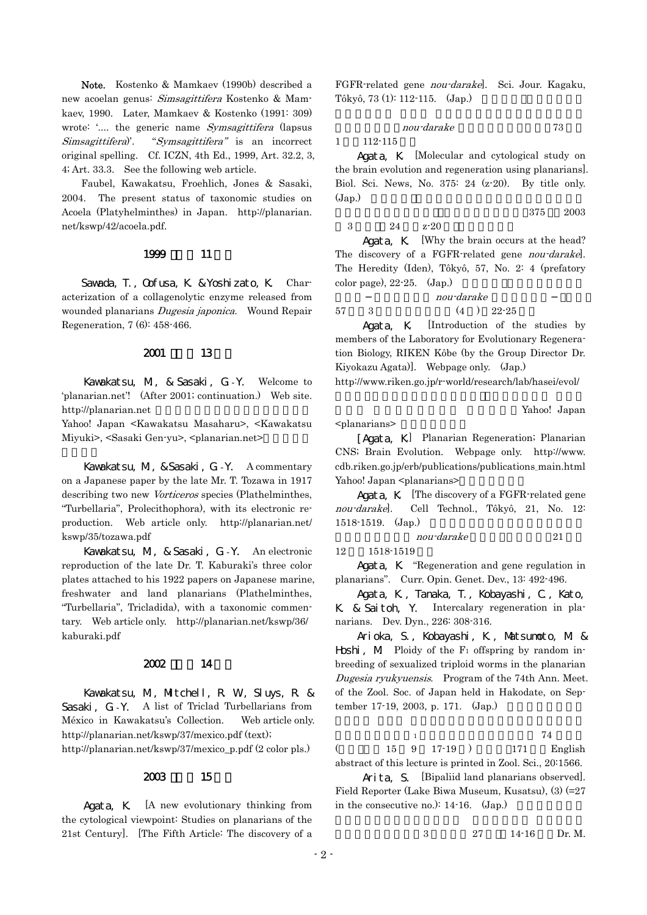Note. Kostenko & Mamkaev (1990b) described a new acoelan genus: Simsagittifera Kostenko & Mamkaev, 1990. Later, Mamkaev & Kostenko (1991: 309) wrote: '.... the generic name *Symsagittifera* (lapsus Simsagittifera)'. "Symsagittifera" is an incorrect original spelling. Cf. ICZN, 4th Ed., 1999, Art. 32.2, 3, 4; Art. 33.3. See the following web article.

 Faubel, Kawakatsu, Froehlich, Jones & Sasaki, 2004. The present status of taxonomic studies on Acoela (Platyhelminthes) in Japan. http://planarian. net/kswp/42/acoela.pdf.

## 1999 11

Savada, T., Cofusa, K. & Yoshizato, K. Characterization of a collagenolytic enzyme released from wounded planarians Dugesia japonica. Wound Repair Regeneration, 7 (6): 458-466.

## $2001$  13

Kawakatsu, M., & Sasaki, G.-Y. Welcome to 'planarian.net'! (After 2001; continuation.) Web site. http://planarian.net

Yahoo! Japan <Kawakatsu Masaharu>, <Kawakatsu Miyuki>, <Sasaki Gen-yu>, <planarian.net>

Kawakatsu, M., & Sasaki, G.-Y. A commentary on a Japanese paper by the late Mr. T. Tozawa in 1917 describing two new Vorticeros species (Plathelminthes, "Turbellaria", Prolecithophora), with its electronic reproduction. Web article only. http://planarian.net/ kswp/35/tozawa.pdf

Kawakatsu, M., & Sasaki, G.-Y. An electronic reproduction of the late Dr. T. Kaburaki's three color plates attached to his 1922 papers on Japanese marine, freshwater and land planarians (Plathelminthes, "Turbellaria", Tricladida), with a taxonomic commentary. Web article only. http://planarian.net/kswp/36/ kaburaki.pdf

## $2002$  14

Kawakatsu, M., Mitchell, R. W., Sluys, R. & Sasaki, G.-Y. A list of Triclad Turbellarians from México in Kawakatsu's Collection. Web article only. http://planarian.net/kswp/37/mexico.pdf (text);

http://planarian.net/kswp/37/mexico\_p.pdf (2 color pls.)

# $2003$  15

Agata, K. [A new evolutionary thinking from the cytological viewpoint: Studies on planarians of the 21st Century]. [The Fifth Article: The discovery of a FGFR-related gene nou-darake]. Sci. Jour. Kagaku, Tôkyô, 73 (1): 112-115. (Jap.)

$$
nou\cdot darake \qquad \qquad 73
$$

1 112-115

Agata, K. [Molecular and cytological study on the brain evolution and regeneration using planarians]. Biol. Sci. News, No. 375: 24 (z-20). By title only.  $(\text{Jap.})$ 

 $\sqrt{375}$  2003 3 24  $z-20$ 

Agata, K. Why the brain occurs at the head? The discovery of a FGFR-related gene nou-darakel. The Heredity (Iden), Tôkyô, 57, No. 2: 4 (prefatory color page),  $22-25$ .  $(Jap.)$ 

nou-darake  $57 \qquad 3 \qquad \qquad (4 \quad ) \quad 22-25$ 

 Agata, K. [Introduction of the studies by members of the Laboratory for Evolutionary Regeneration Biology, RIKEN Kôbe (by the Group Director Dr. Kiyokazu Agata)]. Webpage only. (Jap.)

http://www.riken.go.jp/r-world/research/lab/hasei/evol/

Yahoo! Japan

<planarians>

[Agata, K.] Planarian Regeneration; Planarian CNS; Brain Evolution. Webpage only. http://www. cdb.riken.go.jp/erb/publications/publications\_main.html Yahoo! Japan <planarians>

Agata, K. [The discovery of a FGFR-related gene nou-darake]. Cell Technol., Tôkyô, 21, No. 12:  $1518-1519.$  (Jap.)

nou-darake 21

 $12 \qquad 1518 - 1519$ 

Agata, K. "Regeneration and gene regulation in planarians". Curr. Opin. Genet. Dev., 13: 492-496.

Agata, K., Tanaka, T., Kobayashi, C., Kato, K. & Saitoh, Y. Intercalary regeneration in planarians. Dev. Dyn., 226: 308-316.

Arioka, S., Kobayashi, K., Matsumoto, M. & **Hoshi**,  $M$  Ploidy of the  $F_1$  offspring by random inbreeding of sexualized triploid worms in the planarian Dugesia ryukyuensis. Program of the 74th Ann. Meet. of the Zool. Soc. of Japan held in Hakodate, on September 17-19, 2003, p. 171.  $(Jap.)$ 

 $\frac{1}{1}$   $\frac{74}{1}$  $($  15 9 17-19 ) 171 English abstract of this lecture is printed in Zool. Sci., 20:1566.

Arita, S. [Bipaliid land planarians observed]. Field Reporter (Lake Biwa Museum, Kusatsu), (3) (=27 in the consecutive no.):  $14-16.$  (Jap.)

3 27 14-16 Dr. M.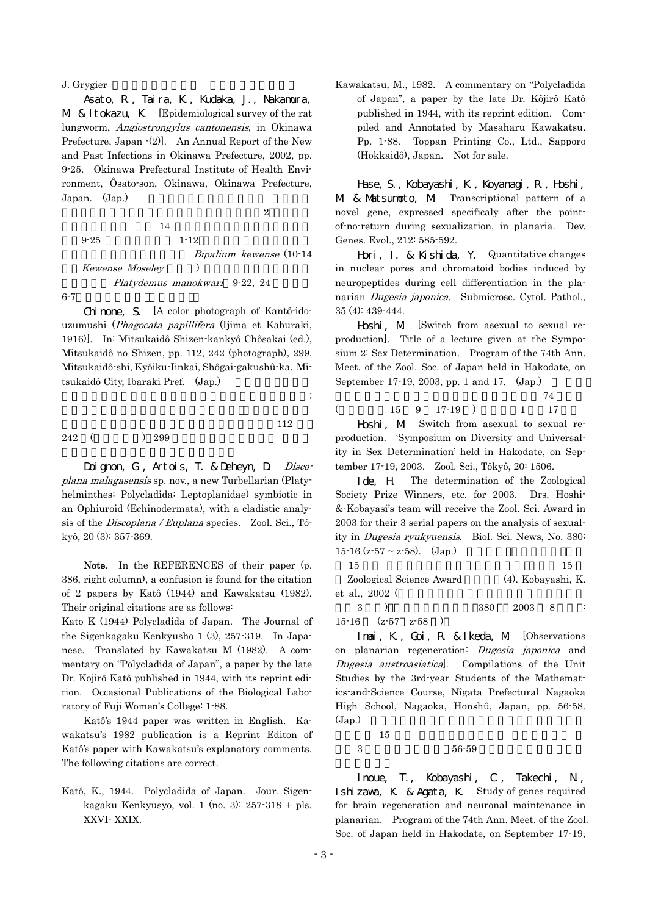#### J. Grygier

Asato, R., Taira, K., Kudaka, J., Nakamura, M & Itokazu, K [Epidemiological survey of the rat lungworm, Angiostrongylus cantonensis, in Okinawa Prefecture, Japan  $-(2)$ ]. An Annual Report of the New and Past Infections in Okinawa Prefecture, 2002, pp. 9-25. Okinawa Prefectural Institute of Health Environment, Ôsato-son, Okinawa, Okinawa Prefecture, Japan. (Jap.)

正治・糸数清正.広東住血線虫の疫学的調査(2 .沖縄県  $14$  $9-25$   $1-12$ Bipalium kewense (10-14 Kewense Moseley Platydemus manokwari 9-22, 24

 $6-7$ 

Chinone, S. [A color photograph of Kantô-idouzumushi (Phagocata papillifera (Ijima et Kaburaki, 1916)]. In: Mitsukaidô Shizen-kankyô Chôsakai (ed.), Mitsukaidô no Shizen, pp. 112, 242 (photograph), 299. Mitsukaidô-shi, Kyôiku-Iinkai, Shôgai-gakushû-ka. Mitsukaidô City, Ibaraki Pref. (Jap.)

, the contract of the contract of  $\mathfrak{z}$ ;

 $112$  $242$  ( ) 299

Doignon, G., Artois, T. & Deheyn, D. Discoplana malagasensis sp. nov., a new Turbellarian (Platyhelminthes: Polycladida: Leptoplanidae) symbiotic in an Ophiuroid (Echinodermata), with a cladistic analysis of the Discoplana / Euplana species. Zool. Sci., Tôkyô, 20 (3): 357-369.

Note. In the REFERENCES of their paper (p. 386, right column), a confusion is found for the citation of 2 papers by Katô (1944) and Kawakatsu (1982). Their original citations are as follows:

Kato K (1944) Polycladida of Japan. The Journal of the Sigenkagaku Kenkyusho 1 (3), 257-319. In Japanese. Translated by Kawakatsu M (1982). A commentary on "Polycladida of Japan", a paper by the late Dr. Kojirô Katô published in 1944, with its reprint edition. Occasional Publications of the Biological Laboratory of Fuji Women's College: 1-88.

Katô's 1944 paper was written in English. Kawakatsu's 1982 publication is a Reprint Editon of Katô's paper with Kawakatsu's explanatory comments. The following citations are correct.

Katô, K., 1944. Polycladida of Japan. Jour. Sigenkagaku Kenkyusyo, vol. 1 (no. 3):  $257-318 + \text{pls}$ . XXVI- XXIX.

Kawakatsu, M., 1982. A commentary on "Polycladida of Japan", a paper by the late Dr. Kôjirô Katô published in 1944, with its reprint edition. Compiled and Annotated by Masaharu Kawakatsu. Pp. 1-88. Toppan Printing Co., Ltd., Sapporo (Hokkaidô), Japan. Not for sale.

Hase, S., Kobayashi, K., Koyanagi, R., Hoshi, M. & Matsumoto, M. Transcriptional pattern of a novel gene, expressed specificaly after the pointof-no-return during sexualization, in planaria. Dev. Genes. Evol., 212: 585-592.

Hori, I. & Kishida, Y. Quantitative changes in nuclear pores and chromatoid bodies induced by neuropeptides during cell differentiation in the planarian Dugesia japonica. Submicrosc. Cytol. Pathol., 35 (4): 439-444.

Hoshi, M. [Switch from asexual to sexual reproduction]. Title of a lecture given at the Symposium 2: Sex Determination. Program of the 74th Ann. Meet. of the Zool. Soc. of Japan held in Hakodate, on September 17-19, 2003, pp. 1 and 17. (Jap.)

 $74$ 

 $($  15 9 17-19 ) 1 17

Hoshi, M. Switch from asexual to sexual reproduction. 'Symposium on Diversity and Universality in Sex Determination' held in Hakodate, on September 17-19, 2003. Zool. Sci., Tôkyô, 20: 1506.

Ide, H. The determination of the Zoological Society Prize Winners, etc. for 2003. Drs. Hoshi- &-Kobayasi's team will receive the Zool. Sci. Award in 2003 for their 3 serial papers on the analysis of sexuality in Dugesia ryukyuensis. Biol. Sci. News, No. 380:  $15-16$  (z $-57 \sim$  z $-58$ ). (Jap.)

| 15                       |     |                    |    | 15 |
|--------------------------|-----|--------------------|----|----|
| Zoological Science Award |     | (4). Kobayashi, K. |    |    |
| et al., 2002 (           |     |                    |    |    |
| $\mathcal{R}$            | 380 | 2003               | -8 |    |
| $15-16$ $(z-57$ $z-58$   |     |                    |    |    |

Imai, K., Goi, R. & Ikeda, M. [Observations on planarian regeneration: Dugesia japonica and Dugesia austroasiatica]. Compilations of the Unit Studies by the 3rd-year Students of the Mathematics-and-Science Course, Nîgata Prefectural Nagaoka High School, Nagaoka, Honshû, Japan, pp. 56-58.  $(\text{Jap.})$ 

 $15$  $3 \hspace{1.5cm} 56-59$ 

Inoue, T., Kobayashi, C., Takechi, N., Ishizawa, K. & Agata, K. Study of genes required for brain regeneration and neuronal maintenance in planarian. Program of the 74th Ann. Meet. of the Zool. Soc. of Japan held in Hakodate, on September 17-19,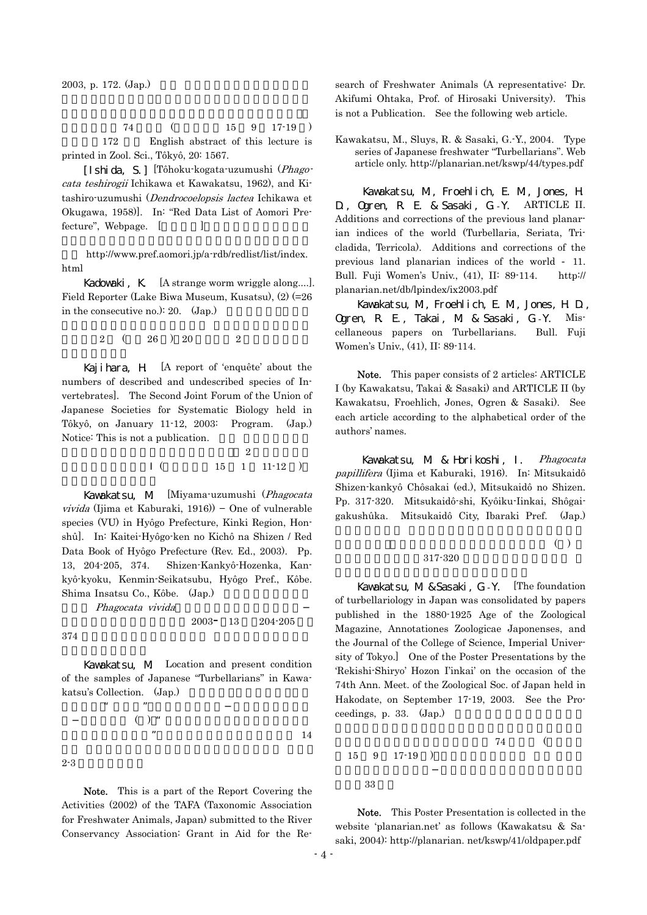2003, p. 172. (Jap.)

 $74$  (15 9 17-19 ) 172 English abstract of this lecture is printed in Zool. Sci., Tôkyô, 20: 1567.

[Ishida, S.] [Tôhoku-kogata-uzumushi (Phagocata teshirogii Ichikawa et Kawakatsu, 1962), and Kitashiro-uzumushi (Dendrocoelopsis lactea Ichikawa et Okugawa, 1958)]. In: "Red Data List of Aomori Prefecture", Webpage. [

ジ. http://www.pref.aomori.jp/a-rdb/redlist/list/index. html

Kadowaki, K. [A strange worm wriggle along....]. Field Reporter (Lake Biwa Museum, Kusatsu), (2) (=26 in the consecutive no.): 20.  $(Jap.)$ 

 $2(26)26$   $26$   $20$   $2$ 

Kajihara, H. [A report of 'enquête' about the numbers of described and undescribed species of Invertebrates]. The Second Joint Forum of the Union of Japanese Societies for Systematic Biology held in Tôkyô, on January 11-12, 2003: Program. (Jap.) Notice: This is not a publication.

 $\overline{2}$  $($  15 1 11-12 )

Kawakatsu, M. [Miyama-uzumushi (Phagocata vivida (Ijima et Kaburaki, 1916)) − One of vulnerable species (VU) in Hyôgo Prefecture, Kinki Region, Honshû]. In: Kaitei-Hyôgo-ken no Kichô na Shizen / Red Data Book of Hyôgo Prefecture (Rev. Ed., 2003). Pp. 13, 204-205, 374. Shizen-Kankyô-Hozenka, Kankyô-kyoku, Kenmin-Seikatsubu, Hyôgo Pref., Kôbe. Shima Insatsu Co., Kôbe. (Jap.)

Phagocata vivida

 $2003 - 13$   $204 - 205$ 

 $374$ 

Kawakatsu, M. Location and present condition of the samples of Japanese "Turbellarians" in Kawakatsu's Collection. (Jap.)

 $\mu$  as  $\mu$ 

 $( )$  "  $\overline{\phantom{a}}$  . The state  $14$ 

 $2 - 3$ 

Note. This is a part of the Report Covering the Activities (2002) of the TAFA (Taxonomic Association for Freshwater Animals, Japan) submitted to the River Conservancy Association: Grant in Aid for the Re-

search of Freshwater Animals (A representative: Dr. Akifumi Ohtaka, Prof. of Hirosaki University). This is not a Publication. See the following web article.

Kawakatsu, M., Sluys, R. & Sasaki, G.-Y., 2004. Type series of Japanese freshwater "Turbellarians". Web article only. http://planarian.net/kswp/44/types.pdf

 Kawakatsu, M., Froehlich, E. M., Jones, H. D., Ogren, R. E. & Sasaki, G.-Y. ARTICLE II. Additions and corrections of the previous land planarian indices of the world (Turbellaria, Seriata, Tricladida, Terricola). Additions and corrections of the previous land planarian indices of the world - 11. Bull. Fuji Women's Univ., (41), II: 89-114. http:// planarian.net/db/lpindex/ix2003.pdf

Kawakatsu, M., Froehlich, E. M., Jones, H. D., Ogren, R. E., Takai, M. & Sasaki, G.-Y. Miscellaneous papers on Turbellarians. Bull. Fuji Women's Univ., (41), II: 89-114.

Note. This paper consists of 2 articles: ARTICLE I (by Kawakatsu, Takai & Sasaki) and ARTICLE II (by Kawakatsu, Froehlich, Jones, Ogren & Sasaki). See each article according to the alphabetical order of the authors' names.

Kawakatsu, M. & Horikoshi, I. Phagocata papillifera (Ijima et Kaburaki, 1916). In: Mitsukaidô Shizen-kankyô Chôsakai (ed.), Mitsukaidô no Shizen. Pp. 317-320. Mitsukaidô-shi, Kyôiku-Iinkai, Shôgaigakushûka. Mitsukaidô City, Ibaraki Pref. (Jap.)

# $\left( \begin{array}{c} \end{array} \right)$ 317-320

Kavakatsu, M& Sasaki, G - Y. [The foundation of turbellariology in Japan was consolidated by papers published in the 1880-1925 Age of the Zoological Magazine, Annotationes Zoologicae Japonenses, and the Journal of the College of Science, Imperial University of Tokyo.] One of the Poster Presentations by the 'Rekishi-Shiryo' Hozon I'inkai' on the occasion of the 74th Ann. Meet. of the Zoological Soc. of Japan held in Hakodate, on September 17-19, 2003. See the Proceedings, p. 33.  $(Jap.)$ 

$$
74 \qquad (
$$

稿集,33 頁.

Note. This Poster Presentation is collected in the website 'planarian.net' as follows (Kawakatsu & Sasaki, 2004): http://planarian. net/kswp/41/oldpaper.pdf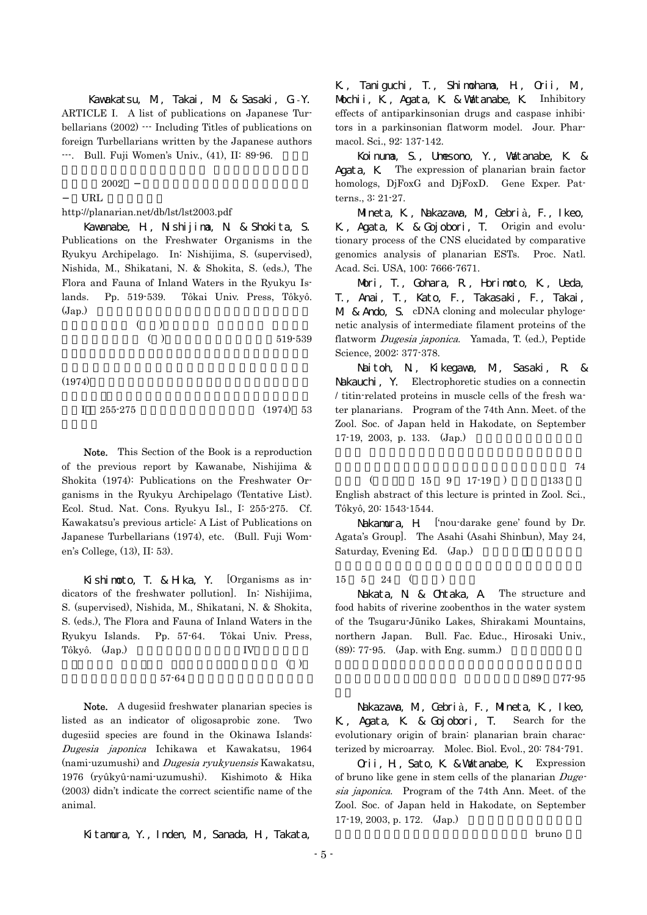Kawakatsu, M., Takai, M. & Sasaki, G.-Y. ARTICLE I. A list of publications on Japanese Turbellarians (2002) --- Including Titles of publications on foreign Turbellarians written by the Japanese authors ---. Bull. Fuji Women's Univ., (41), II: 89-96.

 $2002$ 

URL

http://planarian.net/db/lst/lst2003.pdf

Kawanabe, H., Nishijima, N. & Shokita, S. Publications on the Freshwater Organisms in the Ryukyu Archipelago. In: Nishijima, S. (supervised), Nishida, M., Shikatani, N. & Shokita, S. (eds.), The Flora and Fauna of Inland Waters in the Ryukyu Islands. Pp. 519-539. Tôkai Univ. Press, Tôkyô.  $(\text{Jap.})$ 

 $($  and  $($  and  $)$ . The  $\mathbb{R}$  subset of  $\mathbb{R}$  is the  $\mathbb{R}$  subset of  $\mathbb{R}$  is the  $\mathbb{R}$  subset of  $\mathbb{R}$  subset of  $\mathbb{R}$  subset of  $\mathbb{R}$  subset of  $\mathbb{R}$  subset of  $\mathbb{R}$  subset of  $\mathbb{R}$  sub  $( )$  519-539

 $(1974)$ 

$$
I \t 255-275 \t (1974) \t 53
$$

Note. This Section of the Book is a reproduction of the previous report by Kawanabe, Nishijima & Shokita (1974): Publications on the Freshwater Organisms in the Ryukyu Archipelago (Tentative List). Ecol. Stud. Nat. Cons. Ryukyu Isl., I: 255-275. Cf. Kawakatsu's previous article: A List of Publications on Japanese Turbellarians (1974), etc. (Bull. Fuji Women's College, (13), II: 53).

Kishimoto, T. & Hika, Y. [Organisms as indicators of the freshwater pollution]. In: Nishijima, S. (supervised), Nishida, M., Shikatani, N. & Shokita, S. (eds.), The Flora and Fauna of Inland Waters in the Ryukyu Islands. Pp. 57-64. Tôkai Univ. Press, Tôkyô. (Jap.) IV.  $\overline{a}$  and  $\overline{a}$  ( )

 $57-64$ 

Note. A dugesiid freshwater planarian species is listed as an indicator of oligosaprobic zone. Two dugesiid species are found in the Okinawa Islands: Dugesia japonica Ichikawa et Kawakatsu, 1964 (nami-uzumushi) and Dugesia ryukyuensis Kawakatsu, 1976 (ryûkyû-nami-uzumushi). Kishimoto & Hika (2003) didn't indicate the correct scientific name of the animal.

Kitamura, Y., Inden, M., Sanada, H., Takata,

K., Taniguchi, T., Shimohama, H., Orii, M., Mochii, K., Agata, K. & Watanabe, K. Inhibitory effects of antiparkinsonian drugs and caspase inhibitors in a parkinsonian flatworm model. Jour. Pharmacol. Sci., 92: 137-142.

Koinuma, S., Umesono, Y., Watanabe, K. & Agata, K. The expression of planarian brain factor homologs, DjFoxG and DjFoxD. Gene Exper. Patterns., 3: 21-27.

Mineta, K., Nakazawa, M., Cebrià, F., Ikeo, K., Agata, K. & Gojobori, T. Origin and evolutionary process of the CNS elucidated by comparative genomics analysis of planarian ESTs. Proc. Natl. Acad. Sci. USA, 100: 7666-7671.

Mori, T., Gohara, R., Horimoto, K., Ueda, T., Anai, T., Kato, F., Takasaki, F., Takai, M & Ando, S. cDNA cloning and molecular phylogenetic analysis of intermediate filament proteins of the flatworm Dugesia japonica. Yamada, T. (ed.), Peptide Science, 2002: 377-378.

Naitoh, N., Kikegawa, M., Sasaki, R. & Nakauchi, Y. Electrophoretic studies on a connectin / titin-related proteins in muscle cells of the fresh water planarians. Program of the 74th Ann. Meet. of the Zool. Soc. of Japan held in Hakodate, on September  $17-19$ , 2003, p. 133. (Jap.)

 $74$ 

 $($  15 9 17-19  $)$  133 English abstract of this lecture is printed in Zool. Sci., Tôkyô, 20: 1543-1544.

Nakamura, H ['nou-darake gene' found by Dr. Agata's Group]. The Asahi (Asahi Shinbun), May 24, Saturday, Evening Ed. (Jap.)

 $15 \quad 5 \quad 24 \quad (+)$ 

Nakata, N. & Ontaka, A. The structure and food habits of riverine zoobenthos in the water system of the Tsugaru-Jūniko Lakes, Shirakami Mountains, northern Japan. Bull. Fac. Educ., Hirosaki Univ.,  $(89)$ : 77-95.  $(Jap. with Eng. summ.)$ 

の群集構造と食性.弘前大学 教育学部紀要,89 号,77-95

Nakazawa, M., Cebrià, F., Mineta, K., Ikeo, K., Agata, K. & Gojobori, T. Search for the evolutionary origin of brain: planarian brain characterized by microarray. Molec. Biol. Evol., 20: 784-791.

Orii, H., Sato, K. & Watanabe, K. Expression of bruno like gene in stem cells of the planarian Dugesia japonica. Program of the 74th Ann. Meet. of the Zool. Soc. of Japan held in Hakodate, on September  $17-19$ , 2003, p. 172.  $(Jap.)$ 

extending the bruno bruno  $\frac{1}{2}$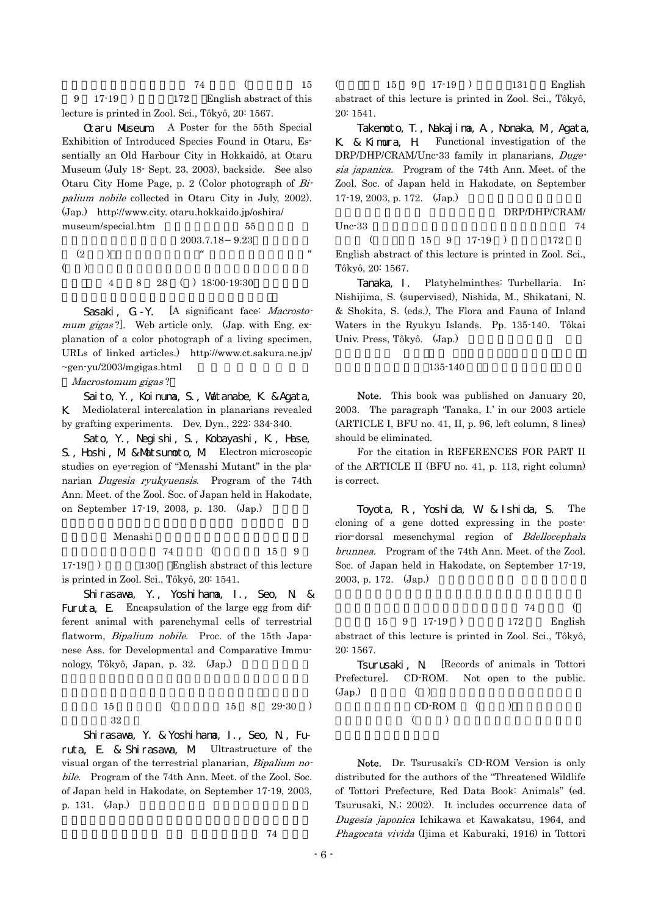$74$  (15  $9 \quad 17-19$  )  $172$  English abstract of this lecture is printed in Zool. Sci., Tôkyô, 20: 1567.

Otaru Museum. A Poster for the 55th Special Exhibition of Introduced Species Found in Otaru, Essentially an Old Harbour City in Hokkaidô, at Otaru Museum (July 18- Sept. 23, 2003), backside. See also Otaru City Home Page, p. 2 (Color photograph of Bipalium nobile collected in Otaru City in July, 2002). (Jap.) http://www.city. otaru.hokkaido.jp/oshira/ museum/special.htm 55

2003.7.18 9.23  $(2)$   $*$  $($ 4 8 28 ( ) 18:00-19:30

Sasaki, G - Y. [A significant face: Macrostomum gigas?]. Web article only. (Jap. with Eng. explanation of a color photograph of a living specimen, URLs of linked articles.) http://www.ct.sakura.ne.jp/  $\sim$ gen-yu/2003/mgigas.html

#### Macrostomum gigas ?

Saito, Y., Koinuma, S., Watanabe, K. & Agata, K. Mediolateral intercalation in planarians revealed by grafting experiments. Dev. Dyn., 222: 334-340.

Sato, Y., Negishi, S., Kobayashi, K., Hase, S., Hoshi, M. & Matsumoto, M. Electron microscopic studies on eye-region of "Menashi Mutant" in the planarian Dugesia ryukyuensis. Program of the 74th Ann. Meet. of the Zool. Soc. of Japan held in Hakodate, on September 17-19, 2003, p. 130.  $(Jap.)$ 

#### Menashi

 $74$  (15 9  $17-19$  )  $130$  English abstract of this lecture is printed in Zool. Sci., Tôkyô, 20: 1541.

Shirasawa, Y., Yoshihama, I., Seo, N. & Furuta, E. Encapsulation of the large egg from different animal with parenchymal cells of terrestrial flatworm, *Bipalium nobile*. Proc. of the 15th Japanese Ass. for Developmental and Comparative Immunology, Tôkyô, Japan, p. 32. (Jap.)

> $15 \t\t (15 \t8 \t29-30)$ 32

Shirasawa, Y. & Yoshihama, I., Seo, N., Furuta, E. & Shirasawa, M. Ultrastructure of the visual organ of the terrestrial planarian, Bipalium nobile. Program of the 74th Ann. Meet. of the Zool. Soc. of Japan held in Hakodate, on September 17-19, 2003, p. 131. (Jap.)

 $74$ 

 $($  15 9 17-19 ) 131 English abstract of this lecture is printed in Zool. Sci., Tôkyô, 20: 1541.

Takemoto, T., Nakajima, A., Nonaka, M., Agata, K. & Kimura, H. Functional investigation of the DRP/DHP/CRAM/Unc-33 family in planarians, Dugesia japanica. Program of the 74th Ann. Meet. of the Zool. Soc. of Japan held in Hakodate, on September  $17-19, 2003, p. 172.$  (Jap.)

DRP/DHP/CRAM/ Unc-33  $74$  $($  15 9 17-19  $)$  172

English abstract of this lecture is printed in Zool. Sci., Tôkyô, 20: 1567.

Tanaka, I. Platyhelminthes: Turbellaria. In: Nishijima, S. (supervised), Nishida, M., Shikatani, N. & Shokita, S. (eds.), The Flora and Fauna of Inland Waters in the Ryukyu Islands. Pp. 135-140. Tôkai Univ. Press, Tôkyô. (Jap.)

#### 135-140

Note. This book was published on January 20, 2003. The paragraph 'Tanaka, I.' in our 2003 article (ARTICLE I, BFU no. 41, II, p. 96, left column, 8 lines) should be eliminated.

For the citation in REFERENCES FOR PART II of the ARTICLE II (BFU no. 41, p. 113, right column) is correct.

Toyota, R., Yoshida, W. & Ishida, S. The cloning of a gene dotted expressing in the posterior-dorsal mesenchymal region of Bdellocephala brunnea. Program of the 74th Ann. Meet. of the Zool. Soc. of Japan held in Hakodate, on September 17-19, 2003, p. 172. (Jap.)

 $74$  and  $74$  and  $74$  and  $74$  and  $74$  and  $74$  and  $74$  and  $74$  and  $74$  and  $74$  and  $74$  and  $74$  and  $74$  and  $74$  and  $74$  and  $74$  and  $74$  and  $74$  and  $74$  and  $74$  and  $74$  and  $74$  and  $74$  and  $74$  and  $74$  15 9 17-19 ) 172 English abstract of this lecture is printed in Zool. Sci., Tôkyô, 20: 1567.

Tsurusaki, N. [Records of animals in Tottori Prefecture]. CD-ROM. Not open to the public.  $(\text{Jap.})$  ( )

 $CD-ROM$  ( )  $(\hspace{0.8cm})$ 

Note. Dr. Tsurusaki's CD-ROM Version is only distributed for the authors of the "Threatened Wildlife of Tottori Prefecture, Red Data Book: Animals" (ed. Tsurusaki, N.; 2002). It includes occurrence data of Dugesia japonica Ichikawa et Kawakatsu, 1964, and Phagocata vivida (Ijima et Kaburaki, 1916) in Tottori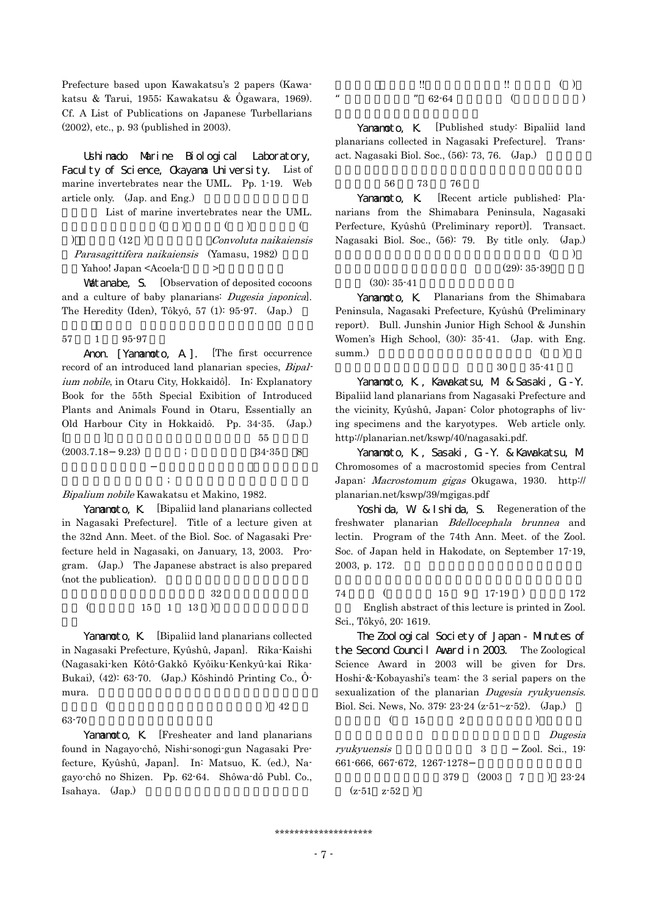Prefecture based upon Kawakatsu's 2 papers (Kawakatsu & Tarui, 1955; Kawakatsu & Ôgawara, 1969). Cf. A List of Publications on Japanese Turbellarians (2002), etc., p. 93 (published in 2003).

Ushimado Marine Biological Laboratory, Faculty of Science, Okayama University. List of marine invertebrates near the UML. Pp. 1-19. Web article only.  $(Jap. and Eng.)$ 

List of marine invertebrates near the UML.  $(+) \qquad (+) \qquad (+)$ )  $(12)$  Convoluta naikaiensis Parasagittifera naikaiensis (Yamasu, 1982) Yahoo! Japan <Acoela->

**Vatanabe, S.** [Observation of deposited cocoons and a culture of baby planarians: Dugesia japonica]. The Heredity (Iden), Tôkyô, 57 (1): 95-97. (Jap.)

## 57 1 95-97

Anon. [Yananoto, A.]. [The first occurrence record of an introduced land planarian species, Bipalium nobile, in Otaru City, Hokkaidô]. In: Explanatory Book for the 55th Special Exibition of Introduced Plants and Animals Found in Otaru, Essentially an Old Harbour City in Hokkaidô. Pp. 34-35. (Jap.)  $\begin{bmatrix} 1 & 1 \end{bmatrix}$ .  $(2003.7.18 \t9.23)$  ;  $34-35 \t8$ 

Bipalium nobile Kawakatsu et Makino, 1982.

Yamanoto, K. [Bipaliid land planarians collected in Nagasaki Prefecture]. Title of a lecture given at the 32nd Ann. Meet. of the Biol. Soc. of Nagasaki Prefecture held in Nagasaki, on January, 13, 2003. Program. (Jap.) The Japanese abstract is also prepared (not the publication).

 $\hspace{1.5cm} ; \hspace{1.5cm}$ 

 $32$  $($  15 1 13  $)$ 

Yananoto, K. [Bipaliid land planarians collected in Nagasaki Prefecture, Kyûshû, Japan]. Rika-Kaishi (Nagasaki-ken Kôtô-Gakkô Kyôiku-Kenkyû-kai Rika-Bukai), (42): 63-70. (Jap.) Kôshindô Printing Co., Ômura.  $\frac{1}{\sqrt{2\pi}}$ .

 $($   $)$   $42$ 63-70

Yamamoto, K. [Fresheater and land planarians found in Nagayo-chô, Nishi-sonogi-gun Nagasaki Prefecture, Kyûshû, Japan]. In: Matsuo, K. (ed.), Nagayo-chô no Shizen. Pp. 62-64. Shôwa-dô Publ. Co., Isahaya. (Jap.)

|    |           | $\ddot{\phantom{1}}$ | ( ) |
|----|-----------|----------------------|-----|
| 66 | $" 62-64$ |                      |     |

Yamanoto, K. [Published study: Bipaliid land planarians collected in Nagasaki Prefecture]. Transact. Nagasaki Biol. Soc.,  $(56)$ : 73, 76.  $(Jap.)$ 

#### 物学会誌,56 号,73 頁,76 頁.

Yamamoto, K. [Recent article published: Planarians from the Shimabara Peninsula, Nagasaki Perfecture, Kyûshû (Preliminary report)]. Transact. Nagasaki Biol. Soc., (56): 79. By title only. (Jap.)  $\left(\begin{array}{c} \& \& \end{array}\right)$ 

 $(29): 35-39$ 

 $(30): 35-41$ 

Yananoto, K. Planarians from the Shimabara Peninsula, Nagasaki Prefecture, Kyûshû (Preliminary report). Bull. Junshin Junior High School & Junshin Women's High School, (30): 35-41. (Jap. with Eng.  $\text{summ.}}\tag{ }$ 

 $30 \t 35-41$ 

Yamamoto, K., Kawakatsu, M. & Sasaki, G.-Y. Bipaliid land planarians from Nagasaki Prefecture and the vicinity, Kyûshû, Japan: Color photographs of living specimens and the karyotypes. Web article only. http://planarian.net/kswp/40/nagasaki.pdf.

Yamamoto, K., Sasaki, G.-Y. & Kawakatsu, M. Chromosomes of a macrostomid species from Central Japan: Macrostomum gigas Okugawa, 1930. http:// planarian.net/kswp/39/mgigas.pdf

Yoshi da, W. & I shi da, S. Regeneration of the freshwater planarian Bdellocephala brunnea and lectin. Program of the 74th Ann. Meet. of the Zool. Soc. of Japan held in Hakodate, on September 17-19, 2003, p. 172.

 $74$  (15 9 17-19 ) 172 頁. English abstract of this lecture is printed in Zool. Sci., Tôkyô, 20: 1619.

The Zoological Society of Japan - Minutes of the Second Council Award in 2003. The Zoological Science Award in 2003 will be given for Drs. Hoshi-&-Kobayashi's team: the 3 serial papers on the sexualization of the planarian *Dugesia ryukyuensis*. Biol. Sci. News, No. 379: 23-24 (z-51~z-52). (Jap.)

|                             | 15 |     |                                     |  |                 |
|-----------------------------|----|-----|-------------------------------------|--|-----------------|
|                             |    |     |                                     |  | Dugesia         |
| rvukvuensis                 |    |     | - 3                                 |  | Zool. Sci., 19: |
| 661-666, 667-672, 1267-1278 |    |     |                                     |  |                 |
|                             |    | 379 | $(2003 \quad 7 \quad ) \quad 23-24$ |  |                 |
| $(z-51 \quad z-52)$         |    |     |                                     |  |                 |

\*\*\*\*\*\*\*\*\*\*\*\*\*\*\*\*\*\*\*\*